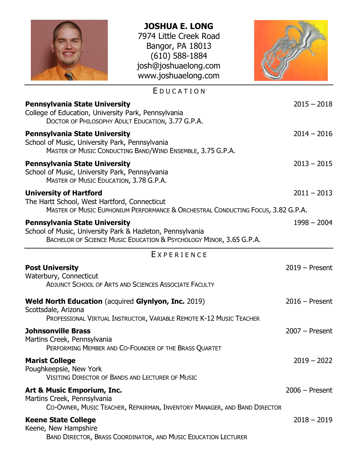| <b>JOSHUA E. LONG</b><br>7974 Little Creek Road<br>Bangor, PA 18013<br>$(610)$ 588-1884<br>josh@joshuaelong.com<br>www.joshuaelong.com                                   |                  |
|--------------------------------------------------------------------------------------------------------------------------------------------------------------------------|------------------|
| EDUCATION                                                                                                                                                                |                  |
| <b>Pennsylvania State University</b><br>College of Education, University Park, Pennsylvania<br>DOCTOR OF PHILOSOPHY ADULT EDUCATION, 3.77 G.P.A.                         | $2015 - 2018$    |
| <b>Pennsylvania State University</b><br>School of Music, University Park, Pennsylvania<br>MASTER OF MUSIC CONDUCTING BAND/WIND ENSEMBLE, 3.75 G.P.A.                     | $2014 - 2016$    |
| <b>Pennsylvania State University</b><br>School of Music, University Park, Pennsylvania<br>MASTER OF MUSIC EDUCATION, 3.78 G.P.A.                                         | $2013 - 2015$    |
| <b>University of Hartford</b><br>The Hartt School, West Hartford, Connecticut<br>MASTER OF MUSIC EUPHONIUM PERFORMANCE & ORCHESTRAL CONDUCTING FOCUS, 3.82 G.P.A.        | $2011 - 2013$    |
| <b>Pennsylvania State University</b><br>School of Music, University Park & Hazleton, Pennsylvania<br>BACHELOR OF SCIENCE MUSIC EDUCATION & PSYCHOLOGY MINOR, 3.65 G.P.A. | $1998 - 2004$    |
| EXPERIENCE                                                                                                                                                               |                  |
| <b>Post University</b><br>Waterbury, Connecticut<br><b>ADJUNCT SCHOOL OF ARTS AND SCIENCES ASSOCIATE FACULTY</b>                                                         | $2019 -$ Present |
| <b>Weld North Education (acquired Glynlyon, Inc. 2019)</b><br>Scottsdale, Arizona<br>PROFESSIONAL VIRTUAL INSTRUCTOR, VARIABLE REMOTE K-12 MUSIC TEACHER                 | $2016$ – Present |
| <b>Johnsonville Brass</b><br>Martins Creek, Pennsylvania<br>PERFORMING MEMBER AND CO-FOUNDER OF THE BRASS QUARTET                                                        | $2007 -$ Present |
| <b>Marist College</b><br>Poughkeepsie, New York<br><b>VISITING DIRECTOR OF BANDS AND LECTURER OF MUSIC</b>                                                               | $2019 - 2022$    |
| Art & Music Emporium, Inc.<br>Martins Creek, Pennsylvania<br>CO-OWNER, MUSIC TEACHER, REPAIRMAN, INVENTORY MANAGER, AND BAND DIRECTOR                                    | $2006 -$ Present |
| <b>Keene State College</b><br>Keene, New Hampshire<br>BAND DIRECTOR, BRASS COORDINATOR, AND MUSIC EDUCATION LECTURER                                                     | $2018 - 2019$    |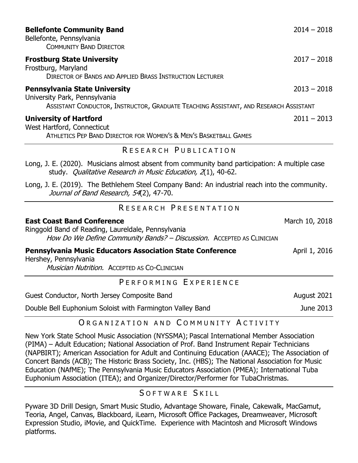| <b>Bellefonte Community Band</b><br>Bellefonte, Pennsylvania<br><b>COMMUNITY BAND DIRECTOR</b>                                                                   | $2014 - 2018$  |
|------------------------------------------------------------------------------------------------------------------------------------------------------------------|----------------|
| <b>Frostburg State University</b><br>Frostburg, Maryland<br><b>DIRECTOR OF BANDS AND APPLIED BRASS INSTRUCTION LECTURER</b>                                      | $2017 - 2018$  |
| <b>Pennsylvania State University</b><br>University Park, Pennsylvania<br>ASSISTANT CONDUCTOR, INSTRUCTOR, GRADUATE TEACHING ASSISTANT, AND RESEARCH ASSISTANT    | $2013 - 2018$  |
| <b>University of Hartford</b><br>West Hartford, Connecticut<br>ATHLETICS PEP BAND DIRECTOR FOR WOMEN'S & MEN'S BASKETBALL GAMES                                  | $2011 - 2013$  |
| RESEARCH PUBLICATION                                                                                                                                             |                |
| Long, J. E. (2020). Musicians almost absent from community band participation: A multiple case<br>study. Qualitative Research in Music Education, 2(1), 40-62.   |                |
| Long, J. E. (2019). The Bethlehem Steel Company Band: An industrial reach into the community.<br>Journal of Band Research, 54(2), 47-70.                         |                |
| RESEARCH PRESENTATION                                                                                                                                            |                |
| <b>East Coast Band Conference</b><br>Ringgold Band of Reading, Laureldale, Pennsylvania<br>How Do We Define Community Bands? - Discussion. ACCEPTED AS CLINICIAN | March 10, 2018 |
| <b>Pennsylvania Music Educators Association State Conference</b><br>Hershey, Pennsylvania<br><b>Musician Nutrition. ACCEPTED AS CO-CLINICIAN</b>                 | April 1, 2016  |
| PERFORMING EXPERIENCE                                                                                                                                            |                |
| Guest Conductor, North Jersey Composite Band                                                                                                                     | August 2021    |
| Double Bell Euphonium Soloist with Farmington Valley Band                                                                                                        | June 2013      |
| $\bigcap_{n}$                                                                                                                                                    |                |

## O R G A N I Z A T I O N A N D C O M M U N I T Y A C T I V I T Y

[New York State School Music Association \(NYSSMA\);](https://www.nyssma.org/) [Pascal International Member Association](https://pimamembers.wixsite.com/network)  (PIMA) – [Adult Education;](https://pimamembers.wixsite.com/network) [National Association of Prof. Band Instrument Repair Technicians](http://www.napbirt.org/)  [\(NAPBIRT\);](http://www.napbirt.org/) [American Association for Adult and Continuing Education](http://aaace.site-ym.com/) (AAACE); [The Association of](http://www.acbands.org/)  [Concert Bands](http://www.acbands.org/) (ACB); [The Historic Brass Society, Inc.](http://www.historicbrass.org/) (HBS); [The National Association for Music](http://www.nafme.org/)  [Education \(NAfME\);](http://www.nafme.org/) [The Pennsylvania Music Educators Association \(PMEA\);](http://www.pmea.net/) [International Tuba](http://www.iteaonline.org/)  [Euphonium Association \(ITEA\);](http://www.iteaonline.org/) and Organizer/Director/Performer for [TubaChristmas.](http://www.tubachristmas.com/)

SOFTWARE SKILL

Pyware 3D Drill Design, Smart Music Studio, Advantage Showare, Finale, Cakewalk, MacGamut, Teoria, Angel, Canvas, Blackboard, iLearn, Microsoft Office Packages, Dreamweaver, Microsoft Expression Studio, iMovie, and QuickTime. Experience with Macintosh and Microsoft Windows platforms.